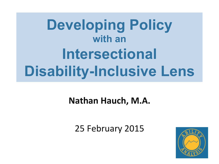## **Developing Policy with an Intersectional Disability-Inclusive Lens**

### **Nathan Hauch, M.A.**

25 February 2015

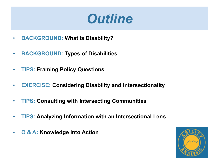## *Outline*

- **BACKGROUND: What is Disability?**
- **BACKGROUND: Types of Disabilities**
- **TIPS: Framing Policy Questions**
- **EXERCISE: Considering Disability and Intersectionality**
- **TIPS: Consulting with Intersecting Communities**
- **TIPS: Analyzing Information with an Intersectional Lens**
- **Q & A: Knowledge into Action**

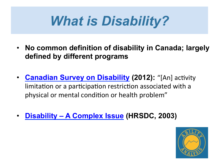## *What is Disability?*

- **No common definition of disability in Canada; largely defined by different programs**
- **Canadian Survey on Disability (2012):** "[An] activity limitation or a participation restriction associated with a physical or mental condition or health problem"
- **Disability A Complex Issue (HRSDC, 2003)**

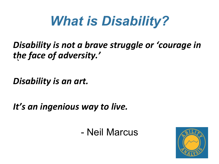## *What is Disability?*

### *Disability is not a brave struggle or 'courage in* the face of adversity.'  $\mathbf{A}$

**Disability** is an art.

It's an ingenious way to live.

- Neil Marcus

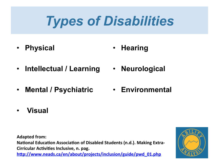## *Types of Disabilities*

- **Physical**  • **Hearing**
- **Intellectual / Learning**
- **Mental / Psychiatric**
- **Neurological**
- **Environmental**

• **Visual** 

Adapted from: **National Education Association of Disabled Students (n.d.). Making Extra-Cirricular Activities Inclusive, n. pag.** http://www.neads.ca/en/about/projects/inclusion/guide/pwd 01.php

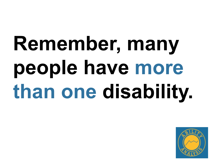# **Remember, many people have more than one disability.**

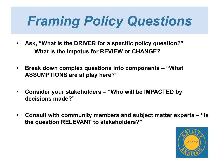## *Framing Policy Questions*

- **Ask, "What is the DRIVER for a specific policy question?"** 
	- **What is the impetus for REVIEW or CHANGE?**
- **Break down complex questions into components "What ASSUMPTIONS are at play here?"**
- **Consider your stakeholders "Who will be IMPACTED by decisions made?"**
- **Consult with community members and subject matter experts "Is the question RELEVANT to stakeholders?"**

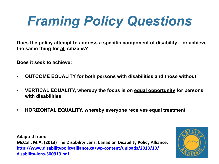## *Framing Policy Questions*

**Does the policy attempt to address a specific component of disability – or achieve the same thing for all citizens?** 

**Does it seek to achieve:** 

- **OUTCOME EQUALITY for both persons with disabilities and those without**
- **VERTICAL EQUALITY, whereby the focus is on equal opportunity for persons with disabilities**
- **HORIZONTAL EQUALITY, whereby everyone receives equal treatment**

**Adapted from: McColl, M.A. (2013) The Disability Lens. Canadian Disability Policy Alliance.** http://www.disabilitypolicyalliance.ca/wp-content/uploads/2013/10/ **disability-lens-300913.pdf** 

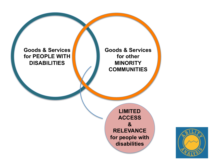

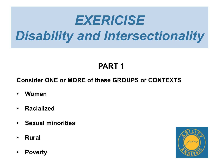## *EXERICISE Disability and Intersectionality*

### **PART 1**

#### **Consider ONE or MORE of these GROUPS or CONTEXTS**

- **Women**
- **Racialized**
- **Sexual minorities**
- **Rural**
- **Poverty**

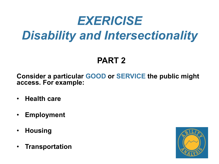## *EXERICISE Disability and Intersectionality*

### **PART 2**

**Consider a particular GOOD or SERVICE the public might access. For example:** 

- **Health care**
- **Employment**
- **Housing**
- **Transportation**

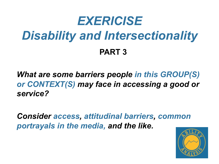## *EXERICISE Disability and Intersectionality* **PART 3**

*What are some barriers people in this GROUP(S) or CONTEXT(S) may face in accessing a good or service?* 

*Consider access, attitudinal barriers, common portrayals in the media, and the like.*

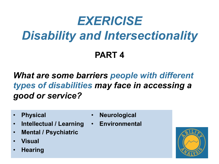## *EXERICISE Disability and Intersectionality* **PART 4**

*What are some barriers people with different types of disabilities may face in accessing a good or service?* 

• **Physical** 

- **Neurological**
- **Intellectual / Learning Environmental**
- **Mental / Psychiatric**
- **Visual**
- **Hearing**

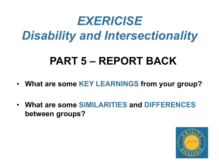## *EXERICISE Disability and Intersectionality*

## **PART 5 – REPORT BACK**

- **What are some KEY LEARNINGS from your group?**
- **What are some SIMILARITIES and DIFFERENCES between groups?**

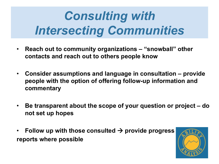## *Consulting with Intersecting Communities*

- **Reach out to community organizations "snowball" other contacts and reach out to others people know**
- **Consider assumptions and language in consultation provide people with the option of offering follow-up information and commentary**
- **Be transparent about the scope of your question or project do not set up hopes**
- Follow up with those consulted  $\rightarrow$  provide progress **reports where possible**

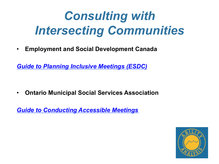## *Consulting with Intersecting Communities*

• **Employment and Social Development Canada** 

*Guide to Planning Inclusive Meetings (ESDC)*

• **Ontario Municipal Social Services Association** 

*Guide to Conducting Accessible Meetings*

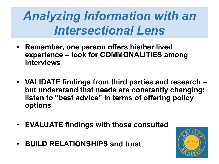## *Analyzing Information with an Intersectional Lens*

- **Remember, one person offers his/her lived experience – look for COMMONALITIES among interviews**
- **VALIDATE findings from third parties and research but understand that needs are constantly changing; listen to "best advice" in terms of offering policy options**
- **EVALUATE findings with those consulted**
- **BUILD RELATIONSHIPS and trust**

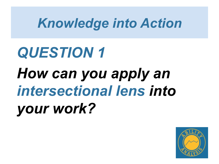## *Knowledge into Action*

# *QUESTION 1 How can you apply an intersectional lens into your work?*

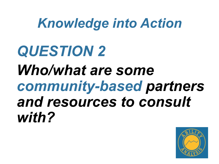## *Knowledge into Action*

# *QUESTION 2 Who/what are some community-based partners and resources to consult with?*

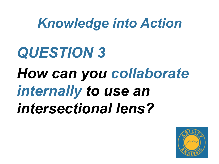## *Knowledge into Action*

# *QUESTION 3 How can you collaborate internally to use an intersectional lens?*

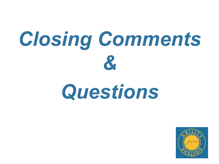# *Closing Comments &*

# *Questions*